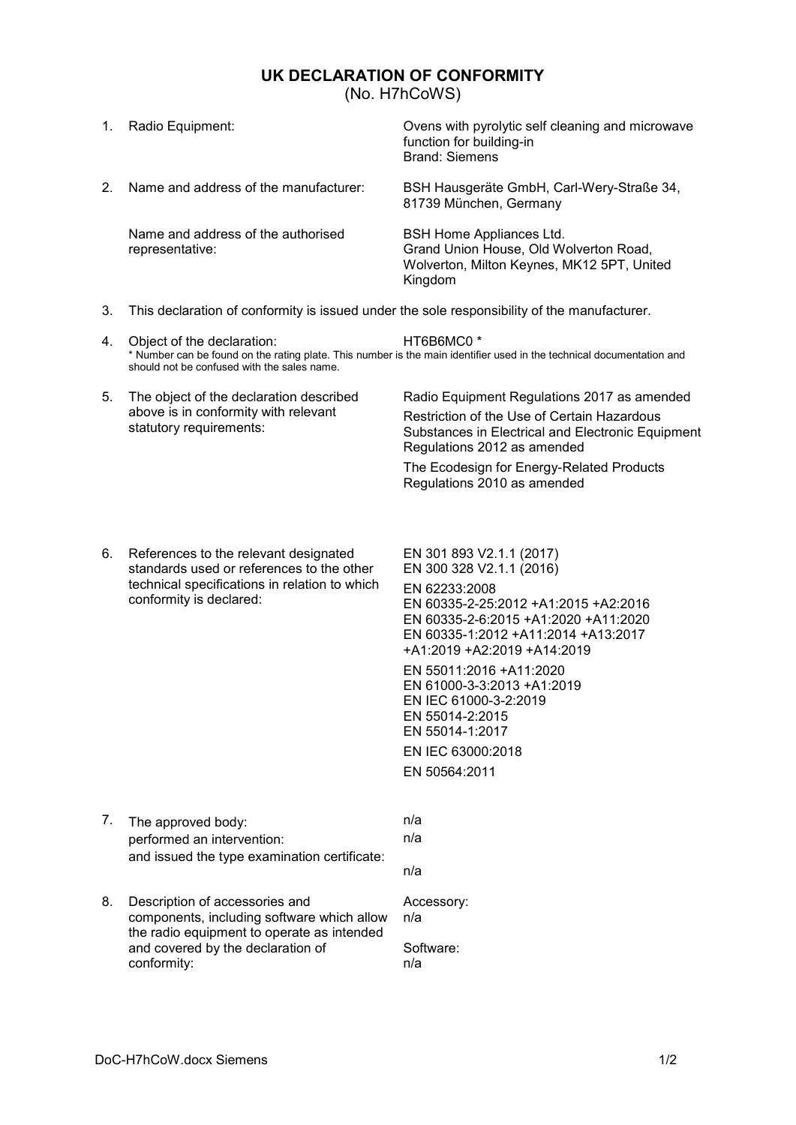## **UK DECLARATION OF CONFORMITY**

<span id="page-0-0"></span>(No. H7hCoWS)

| 1. | Radio Equipment:                                                                                                                                                                                                            | Ovens with pyrolytic self cleaning and microwave<br>function for building-in<br><b>Brand: Siemens</b>                       |
|----|-----------------------------------------------------------------------------------------------------------------------------------------------------------------------------------------------------------------------------|-----------------------------------------------------------------------------------------------------------------------------|
| 2. | Name and address of the manufacturer:                                                                                                                                                                                       | BSH Hausgeräte GmbH, Carl-Wery-Straße 34,<br>81739 München, Germany                                                         |
|    | Name and address of the authorised<br>representative:                                                                                                                                                                       | BSH Home Appliances Ltd.<br>Grand Union House, Old Wolverton Road,<br>Wolverton, Milton Keynes, MK12 5PT, United<br>Kingdom |
| 3. | This declaration of conformity is issued under the sole responsibility of the manufacturer.                                                                                                                                 |                                                                                                                             |
| 4. | Object of the declaration:<br>HT6B6MC0 <sup>*</sup><br>* Number can be found on the rating plate. This number is the main identifier used in the technical documentation and<br>should not be confused with the sales name. |                                                                                                                             |

5. The object of the declaration described above is in conformity with relevant statutory requirements: Radio Equipment Regulations 2017 as amended Restriction of the Use of Certain Hazardous Substances in Electrical and Electronic Equipment Regulations 2012 as amended

> The Ecodesign for Energy-Related Products Regulations 2010 as amended

6. References to the relevant designated standards used or references to the other technical specifications in relation to which conformity is declared:

EN 301 893 V2.1.1 (2017) EN 300 328 V2.1.1 (2016) EN 62233:2008 EN 60335-2-25:2012 +A1:2015 +A2:2016 EN 60335-2-6:2015 +A1:2020 +A11:2020 EN 60335-1:2012 +A11:2014 +A13:2017 +A1:2019 +A2:2019 +A14:2019

EN 55011:2016 +A11:2020 EN 61000-3-3:2013 +A1:2019 EN IEC 61000-3-2:2019 EN 55014-2:2015 EN 55014-1:2017 - EN IEC 63000:2018 - EN 50564:2011

- 7. The approved body: n/a performed an intervention: h/a and issued the type examination certificate:
	- n/a
- 8. Description of accessories and components, including software which allow the radio equipment to operate as intended and covered by the declaration of conformity:

Accessory: n/a

Software: n/a